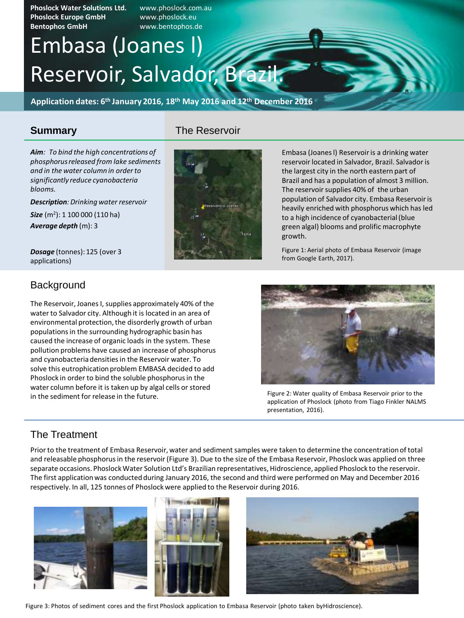**Phoslock Water Solutions Ltd.** www.phoslock.com.au **Phoslock Europe GmbH** www.phoslock.eu **Bentophos GmbH** www.bentophos.de

# Reservoir, Salvador, Brazil. Embasa (Joanes l)

**Application dates: 6th January 2016, 18th May 2016 and 12th December 2016**

#### **Summary**

The Reservoir

*Aim: To bind the high concentrations of phosphorus released from lake sediments and in the water column in order to significantly reduce cyanobacteria blooms.*

*Description:Drinking water reservoir*

*Size* (m<sup>2</sup> ): 1 100 000 (110 ha) *Average depth* (m): 3

*Dosage* (tonnes): 125 (over 3 applications)

#### **Background**

The Reservoir, Joanes I, supplies approximately 40% of the water to Salvador city. Although it is located in an area of environmental protection, the disorderly growth of urban populations in the surrounding hydrographic basin has caused the increase of organic loads in the system. These pollution problems have caused an increase of phosphorus and cyanobacteria densities in the Reservoir water. To solve this eutrophication problem EMBASA decided to add Phoslock in order to bind the soluble phosphorus in the water column before it is taken up by algal cells or stored in the sediment for release in the future.



Embasa (Joanes l) Reservoir is a drinking water reservoir located in Salvador, Brazil. Salvador is the largest city in the north eastern part of Brazil and has a population of almost 3 million. The reservoir supplies 40% of the urban population of Salvador city. Embasa Reservoir is heavily enriched with phosphorus which has led to a high incidence of cyanobacterial (blue green algal) blooms and prolific macrophyte growth.

Figure 1: Aerial photo of Embasa Reservoir (image from Google Earth, 2017).



Figure 2: Water quality of Embasa Reservoir prior to the application of Phoslock (photo from Tiago Finkler NALMS presentation, 2016).

#### The Treatment

Prior to the treatment of Embasa Reservoir, water and sediment samples were taken to determine the concentration of total and releasable phosphorus in the reservoir (Figure 3). Due to the size of the Embasa Reservoir, Phoslock was applied on three separate occasions. Phoslock Water Solution Ltd's Brazilian representatives, Hidroscience, applied Phoslock to the reservoir. The first application was conducted during January 2016, the second and third were performed on May and December 2016 respectively. In all, 125 tonnes of Phoslock were applied to the Reservoir during 2016.



Figure 3: Photos of sediment cores and the first Phoslock application to Embasa Reservoir (photo taken by Hidroscience).